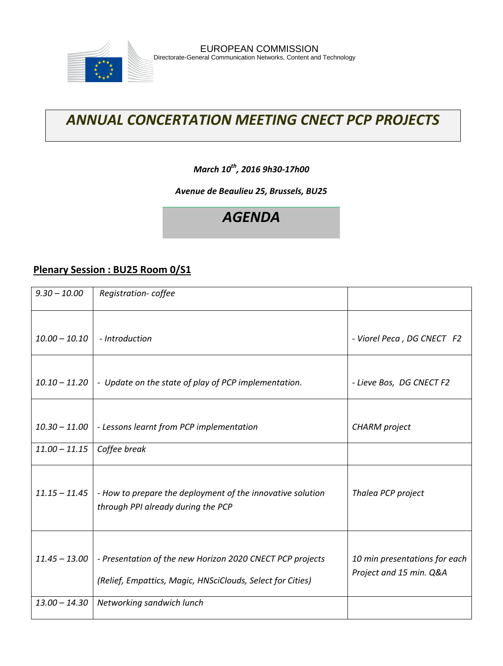

# *ANNUAL CONCERTATION MEETING CNECT PCP PROJECTS*

### *March 10th, 2016 9h30-17h00*

#### *Avenue de Beaulieu 25, Brussels, BU25*

# *AGENDA*

#### **Plenary Session : BU25 Room 0/S1**

| $9.30 - 10.00$  | Registration-coffee                                                                                                     |                                                          |
|-----------------|-------------------------------------------------------------------------------------------------------------------------|----------------------------------------------------------|
| $10.00 - 10.10$ | - Introduction                                                                                                          | - Viorel Peca, DG CNECT F2                               |
| $10.10 - 11.20$ | - Update on the state of play of PCP implementation.                                                                    | - Lieve Bos, DG CNECT F2                                 |
| $10.30 - 11.00$ | - Lessons learnt from PCP implementation                                                                                | CHARM project                                            |
| $11.00 - 11.15$ | Coffee break                                                                                                            |                                                          |
| $11.15 - 11.45$ | - How to prepare the deployment of the innovative solution<br>through PPI already during the PCP                        | Thalea PCP project                                       |
| $11.45 - 13.00$ | - Presentation of the new Horizon 2020 CNECT PCP projects<br>(Relief, Empattics, Magic, HNSciClouds, Select for Cities) | 10 min presentations for each<br>Project and 15 min. Q&A |
| $13.00 - 14.30$ | Networking sandwich lunch                                                                                               |                                                          |